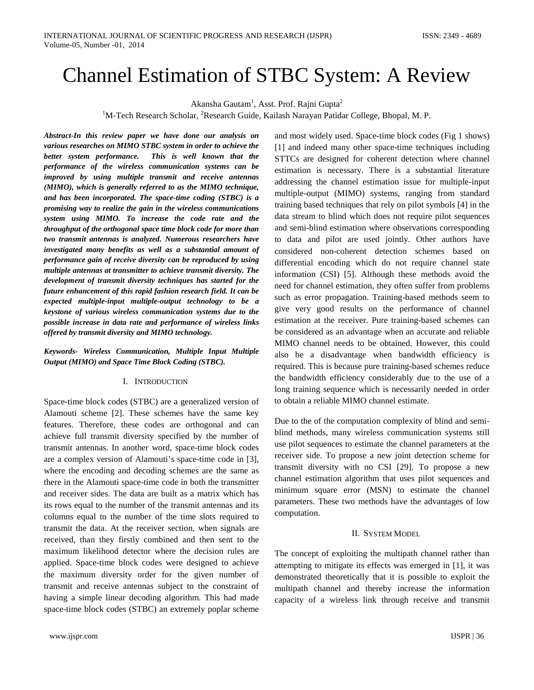# Channel Estimation of STBC System: A Review

Akansha Gautam<sup>1</sup>, Asst. Prof. Rajni Gupta<sup>2</sup>

<sup>1</sup>M-Tech Research Scholar, <sup>2</sup>Research Guide, Kailash Narayan Patidar College, Bhopal, M. P.

*Abstract-In this review paper we have done our analysis on various researches on MIMO STBC system in order to achieve the better system performance. This is well known that the performance of the wireless communication systems can be improved by using multiple transmit and receive antennas (MIMO), which is generally referred to as the MIMO technique, and has been incorporated. The space-time coding (STBC) is a promising way to realize the gain in the wireless communications system using MIMO. To increase the code rate and the throughput of the orthogonal space time block code for more than two transmit antennas is analyzed. Numerous researchers have investigated many benefits as well as a substantial amount of performance gain of receive diversity can be reproduced by using multiple antennas at transmitter to achieve transmit diversity. The development of transmit diversity techniques has started for the future enhancement of this rapid fashion research field. It can be expected multiple-input multiple-output technology to be a keystone of various wireless communication systems due to the possible increase in data rate and performance of wireless links offered by transmit diversity and MIMO technology.*

## *Keywords- Wireless Communication, Multiple Input Multiple Output (MIMO) and Space Time Block Coding (STBC).*

## I. INTRODUCTION

Space-time block codes (STBC) are a generalized version of Alamouti scheme [2]. These schemes have the same key features. Therefore, these codes are orthogonal and can achieve full transmit diversity specified by the number of transmit antennas. In another word, space-time block codes are a complex version of Alamouti's space-time code in [3], where the encoding and decoding schemes are the same as there in the Alamouti space-time code in both the transmitter and receiver sides. The data are built as a matrix which has its rows equal to the number of the transmit antennas and its columns equal to the number of the time slots required to transmit the data. At the receiver section, when signals are received, than they firstly combined and then sent to the maximum likelihood detector where the decision rules are applied. Space-time block codes were designed to achieve the maximum diversity order for the given number of transmit and receive antennas subject to the constraint of having a simple linear decoding algorithm. This had made space-time block codes (STBC) an extremely poplar scheme

and most widely used. Space-time block codes (Fig 1 shows) [1] and indeed many other space-time techniques including STTCs are designed for coherent detection where channel estimation is necessary. There is a substantial literature addressing the channel estimation issue for multiple-input multiple-output (MIMO) systems, ranging from standard training based techniques that rely on pilot symbols [4] in the data stream to blind which does not require pilot sequences and semi-blind estimation where observations corresponding to data and pilot are used jointly. Other authors have considered non-coherent detection schemes based on differential encoding which do not require channel state information (CSI) [5]. Although these methods avoid the need for channel estimation, they often suffer from problems such as error propagation. Training-based methods seem to give very good results on the performance of channel estimation at the receiver. Pure training-based schemes can be considered as an advantage when an accurate and reliable MIMO channel needs to be obtained. However, this could also be a disadvantage when bandwidth efficiency is required. This is because pure training-based schemes reduce the bandwidth efficiency considerably due to the use of a long training sequence which is necessarily needed in order to obtain a reliable MIMO channel estimate.

Due to the of the computation complexity of blind and semiblind methods, many wireless communication systems still use pilot sequences to estimate the channel parameters at the receiver side. To propose a new joint detection scheme for transmit diversity with no CSI [29]. To propose a new channel estimation algorithm that uses pilot sequences and minimum square error (MSN) to estimate the channel parameters. These two methods have the advantages of low computation.

## II. SYSTEM MODEL

The concept of exploiting the multipath channel rather than attempting to mitigate its effects was emerged in [1], it was demonstrated theoretically that it is possible to exploit the multipath channel and thereby increase the information capacity of a wireless link through receive and transmit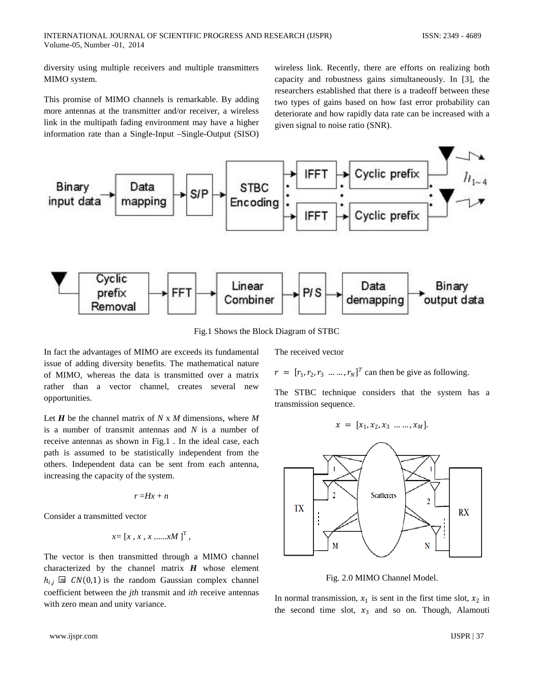diversity using multiple receivers and multiple transmitters MIMO system.

This promise of MIMO channels is remarkable. By adding more antennas at the transmitter and/or receiver, a wireless link in the multipath fading environment may have a higher information rate than a Single-Input –Single-Output (SISO) wireless link. Recently, there are efforts on realizing both capacity and robustness gains simultaneously. In [3], the researchers established that there is a tradeoff between these two types of gains based on how fast error probability can deteriorate and how rapidly data rate can be increased with a given signal to noise ratio (SNR).



Fig.1 Shows the Block Diagram of STBC

In fact the advantages of MIMO are exceeds its fundamental issue of adding diversity benefits. The mathematical nature of MIMO, whereas the data is transmitted over a matrix rather than a vector channel, creates several new opportunities.

Let *H* be the channel matrix of *N* x *M* dimensions, where *M*  is a number of transmit antennas and *N* is a number of receive antennas as shown in Fig.1 *.* In the ideal case, each path is assumed to be statistically independent from the others. Independent data can be sent from each antenna, increasing the capacity of the system.

$$
r = Hx + n
$$

Consider a transmitted vector

$$
x = [x, x, x, \dots xM]^T
$$
,

The vector is then transmitted through a MIMO channel characterized by the channel matrix *H* whose element  $h_{i,j} \boxtimes CN(0,1)$  is the random Gaussian complex channel coefficient between the *jth* transmit and *ith* receive antennas with zero mean and unity variance.

The received vector

 $r = [r_1, r_2, r_3, \dots, r_N]^T$  can then be give as following.

The STBC technique considers that the system has a transmission sequence.

$$
x = [x_1, x_2, x_3 \dots \dots, x_M].
$$



Fig. 2.0 MIMO Channel Model.

In normal transmission,  $x_1$  is sent in the first time slot,  $x_2$  in the second time slot,  $x_3$  and so on. Though, Alamouti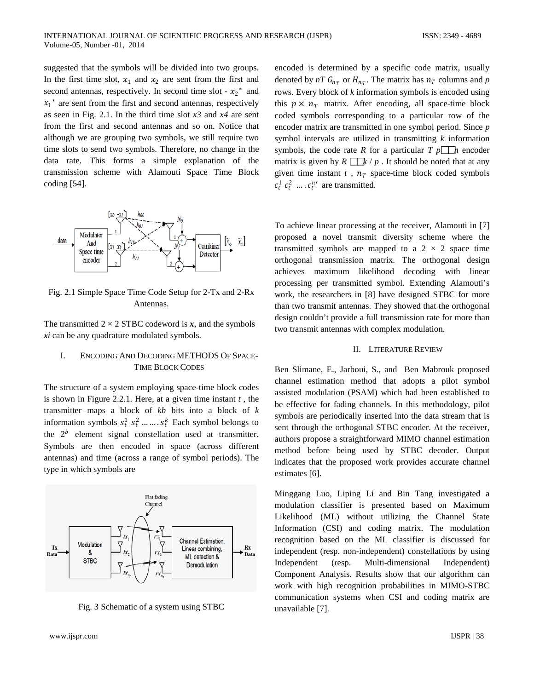suggested that the symbols will be divided into two groups. In the first time slot,  $x_1$  and  $x_2$  are sent from the first and second antennas, respectively. In second time slot  $- x_2^*$  and  $x_1$ <sup>\*</sup> are sent from the first and second antennas, respectively as seen in Fig. 2.1. In the third time slot *x3* and *x4* are sent from the first and second antennas and so on. Notice that although we are grouping two symbols, we still require two time slots to send two symbols. Therefore, no change in the data rate. This forms a simple explanation of the transmission scheme with Alamouti Space Time Block coding [54].



Fig. 2.1 Simple Space Time Code Setup for 2-Tx and 2-Rx Antennas.

The transmitted  $2 \times 2$  STBC codeword is x, and the symbols *xi* can be any quadrature modulated symbols.

## I. ENCODING AND DECODING METHODS OF SPACE-TIME BLOCK CODES

The structure of a system employing space-time block codes is shown in Figure 2.2.1. Here, at a given time instant *t* , the transmitter maps a block of *kb* bits into a block of *k*  information symbols  $s_t^1$   $s_t^2$  ... ...  $s_t^k$  Each symbol belongs to the  $2<sup>b</sup>$  element signal constellation used at transmitter. Symbols are then encoded in space (across different antennas) and time (across a range of symbol periods). The type in which symbols are



Fig. 3 Schematic of a system using STBC

encoded is determined by a specific code matrix, usually denoted by  $nT G_{n_T}$  or  $H_{n_T}$ . The matrix has  $n_T$  columns and p rows. Every block of *k* information symbols is encoded using this  $p \times n_T$  matrix. After encoding, all space-time block coded symbols corresponding to a particular row of the encoder matrix are transmitted in one symbol period. Since *p*  symbol intervals are utilized in transmitting *k* information symbols, the code rate *R* for a particular  $T p \prod_n p$  encoder matrix is given by  $R \Box k / p$ . It should be noted that at any given time instant  $t$ ,  $n<sub>T</sub>$  space-time block coded symbols  $c_t^1$   $c_t^2$  ....  $c_t^{nr}$  are transmitted.

To achieve linear processing at the receiver, Alamouti in [7] proposed a novel transmit diversity scheme where the transmitted symbols are mapped to a  $2 \times 2$  space time orthogonal transmission matrix. The orthogonal design achieves maximum likelihood decoding with linear processing per transmitted symbol. Extending Alamouti's work, the researchers in [8] have designed STBC for more than two transmit antennas. They showed that the orthogonal design couldn't provide a full transmission rate for more than two transmit antennas with complex modulation.

## II. LITERATURE REVIEW

Ben Slimane, E., Jarboui, S., and Ben Mabrouk proposed channel estimation method that adopts a pilot symbol assisted modulation (PSAM) which had been established to be effective for fading channels. In this methodology, pilot symbols are periodically inserted into the data stream that is sent through the orthogonal STBC encoder. At the receiver, authors propose a straightforward MIMO channel estimation method before being used by STBC decoder. Output indicates that the proposed work provides accurate channel estimates [6].

Minggang Luo, Liping Li and Bin Tang investigated a modulation classifier is presented based on Maximum Likelihood (ML) without utilizing the Channel State Information (CSI) and coding matrix. The modulation recognition based on the ML classifier is discussed for independent (resp. non-independent) constellations by using Independent (resp. Multi-dimensional Independent) Component Analysis. Results show that our algorithm can work with high recognition probabilities in MIMO-STBC communication systems when CSI and coding matrix are unavailable [7].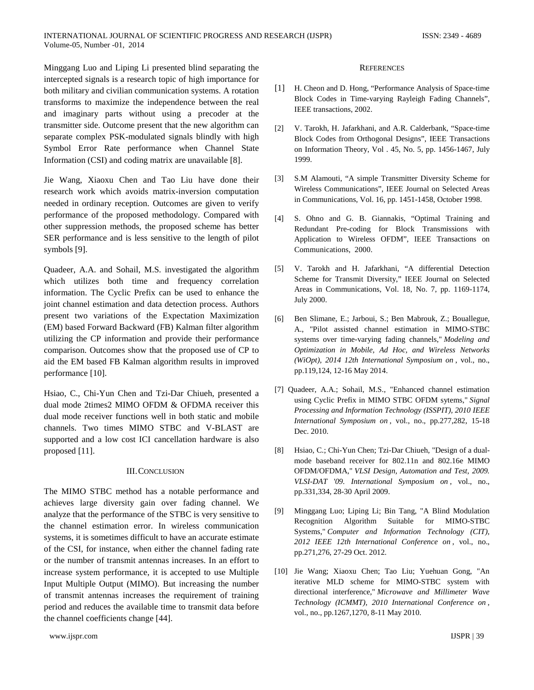Minggang Luo and Liping Li presented blind separating the intercepted signals is a research topic of high importance for both military and civilian communication systems. A rotation transforms to maximize the independence between the real and imaginary parts without using a precoder at the transmitter side. Outcome present that the new algorithm can separate complex PSK-modulated signals blindly with high Symbol Error Rate performance when Channel State Information (CSI) and coding matrix are unavailable [8].

Jie Wang, Xiaoxu Chen and Tao Liu have done their research work which avoids matrix-inversion computation needed in ordinary reception. Outcomes are given to verify performance of the proposed methodology. Compared with other suppression methods, the proposed scheme has better SER performance and is less sensitive to the length of pilot symbols [9].

Quadeer, A.A. and Sohail, M.S. investigated the algorithm which utilizes both time and frequency correlation information. The Cyclic Prefix can be used to enhance the joint channel estimation and data detection process. Authors present two variations of the Expectation Maximization (EM) based Forward Backward (FB) Kalman filter algorithm utilizing the CP information and provide their performance comparison. Outcomes show that the proposed use of CP to aid the EM based FB Kalman algorithm results in improved performance [10].

Hsiao, C., Chi-Yun Chen and Tzi-Dar Chiueh, presented a dual mode 2times2 MIMO OFDM & OFDMA receiver this dual mode receiver functions well in both static and mobile channels. Two times MIMO STBC and V-BLAST are supported and a low cost ICI cancellation hardware is also proposed [11].

## III.CONCLUSION

The MIMO STBC method has a notable performance and achieves large diversity gain over fading channel. We analyze that the performance of the STBC is very sensitive to the channel estimation error. In wireless communication systems, it is sometimes difficult to have an accurate estimate of the CSI, for instance, when either the channel fading rate or the number of transmit antennas increases. In an effort to increase system performance, it is accepted to use Multiple Input Multiple Output (MIMO). But increasing the number of transmit antennas increases the requirement of training period and reduces the available time to transmit data before the channel coefficients change [44].

## **REFERENCES**

- [1] H. Cheon and D. Hong, "Performance Analysis of Space-time Block Codes in Time-varying Rayleigh Fading Channels", IEEE transactions, 2002.
- [2] V. Tarokh, H. Jafarkhani, and A.R. Calderbank, "Space-time Block Codes from Orthogonal Designs", IEEE Transactions on Information Theory, Vol . 45, No. 5, pp. 1456-1467, July 1999.
- [3] S.M Alamouti, "A simple Transmitter Diversity Scheme for Wireless Communications", IEEE Journal on Selected Areas in Communications, Vol. 16, pp. 1451-1458, October 1998.
- [4] S. Ohno and G. B. Giannakis, "Optimal Training and Redundant Pre-coding for Block Transmissions with Application to Wireless OFDM", IEEE Transactions on Communications, 2000.
- [5] V. Tarokh and H. Jafarkhani, "A differential Detection Scheme for Transmit Diversity," IEEE Journal on Selected Areas in Communications, Vol. 18, No. 7, pp. 1169-1174, July 2000.
- [6] Ben Slimane, E.; Jarboui, S.; Ben Mabrouk, Z.; Bouallegue, A., "Pilot assisted channel estimation in MIMO-STBC systems over time-varying fading channels," *Modeling and Optimization in Mobile, Ad Hoc, and Wireless Networks (WiOpt), 2014 12th International Symposium on* , vol., no., pp.119,124, 12-16 May 2014.
- [7] Quadeer, A.A.; Sohail, M.S., "Enhanced channel estimation using Cyclic Prefix in MIMO STBC OFDM sytems," *Signal Processing and Information Technology (ISSPIT), 2010 IEEE International Symposium on* , vol., no., pp.277,282, 15-18 Dec. 2010.
- [8] Hsiao, C.; Chi-Yun Chen; Tzi-Dar Chiueh, "Design of a dualmode baseband receiver for 802.11n and 802.16e MIMO OFDM/OFDMA," *VLSI Design, Automation and Test, 2009. VLSI-DAT '09. International Symposium on* , vol., no., pp.331,334, 28-30 April 2009.
- [9] Minggang Luo; Liping Li; Bin Tang, "A Blind Modulation Recognition Algorithm Suitable for MIMO-STBC Systems," *Computer and Information Technology (CIT), 2012 IEEE 12th International Conference on* , vol., no., pp.271,276, 27-29 Oct. 2012.
- [10] Jie Wang; Xiaoxu Chen; Tao Liu; Yuehuan Gong, "An iterative MLD scheme for MIMO-STBC system with directional interference," *Microwave and Millimeter Wave Technology (ICMMT), 2010 International Conference on* , vol., no., pp.1267,1270, 8-11 May 2010.